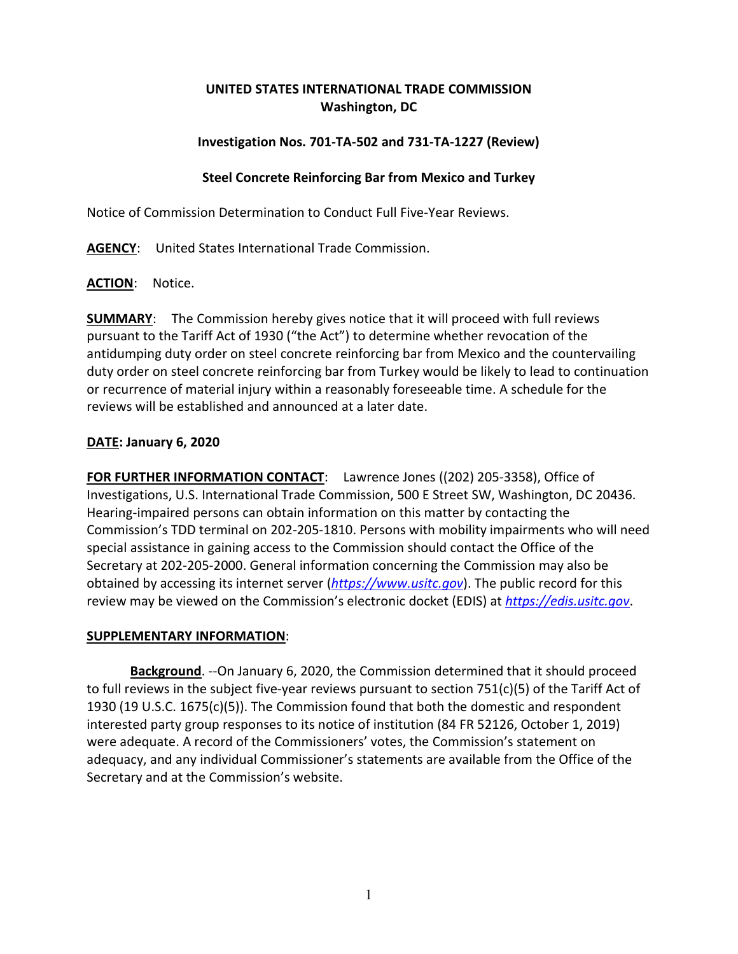## **UNITED STATES INTERNATIONAL TRADE COMMISSION Washington, DC**

# **Investigation Nos. 701-TA-502 and 731-TA-1227 (Review)**

## **Steel Concrete Reinforcing Bar from Mexico and Turkey**

Notice of Commission Determination to Conduct Full Five-Year Reviews.

**AGENCY**: United States International Trade Commission.

**ACTION**: Notice.

**SUMMARY**: The Commission hereby gives notice that it will proceed with full reviews pursuant to the Tariff Act of 1930 ("the Act") to determine whether revocation of the antidumping duty order on steel concrete reinforcing bar from Mexico and the countervailing duty order on steel concrete reinforcing bar from Turkey would be likely to lead to continuation or recurrence of material injury within a reasonably foreseeable time. A schedule for the reviews will be established and announced at a later date.

# **DATE: January 6, 2020**

**FOR FURTHER INFORMATION CONTACT**: Lawrence Jones ((202) 205-3358), Office of Investigations, U.S. International Trade Commission, 500 E Street SW, Washington, DC 20436. Hearing-impaired persons can obtain information on this matter by contacting the Commission's TDD terminal on 202-205-1810. Persons with mobility impairments who will need special assistance in gaining access to the Commission should contact the Office of the Secretary at 202-205-2000. General information concerning the Commission may also be obtained by accessing its internet server (*[https://www.usitc.gov](https://www.usitc.gov/)*). The public record for this review may be viewed on the Commission's electronic docket (EDIS) at *[https://edis.usitc.gov](https://edis.usitc.gov/)*.

## **SUPPLEMENTARY INFORMATION**:

**Background**. --On January 6, 2020, the Commission determined that it should proceed to full reviews in the subject five-year reviews pursuant to section 751(c)(5) of the Tariff Act of 1930 (19 U.S.C. 1675(c)(5)). The Commission found that both the domestic and respondent interested party group responses to its notice of institution (84 FR 52126, October 1, 2019) were adequate. A record of the Commissioners' votes, the Commission's statement on adequacy, and any individual Commissioner's statements are available from the Office of the Secretary and at the Commission's website.